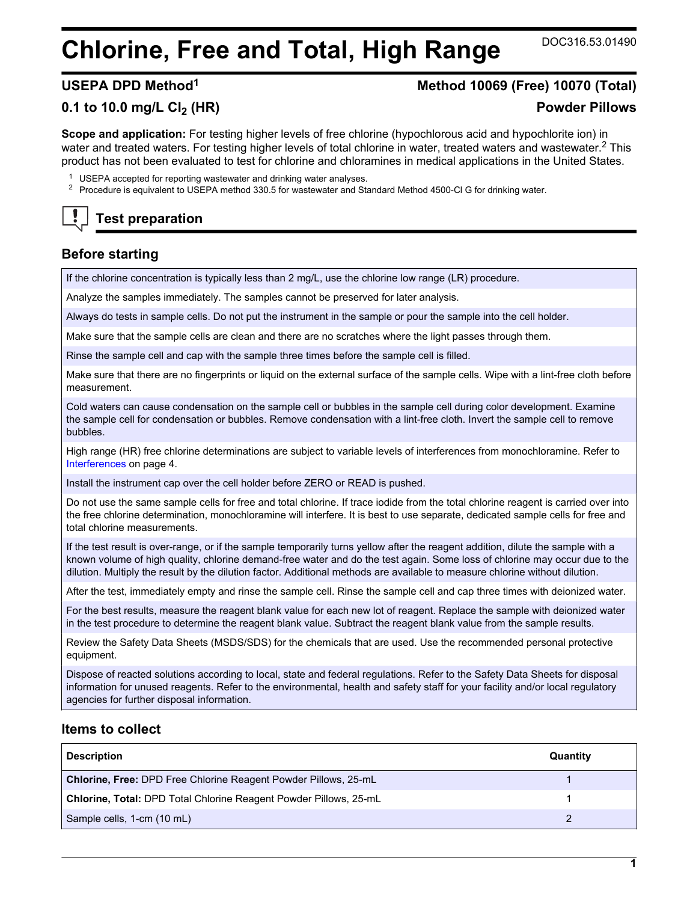# **Chlorine, Free and Total, High Range** DOC316.53.01490

# **USEPA DPD Method<sup>1</sup> Method 10069 (Free) 10070 (Total)**

# **0.1 to 10.0 mg/L Cl2 (HR) Powder Pillows**

**Scope and application:** For testing higher levels of free chlorine (hypochlorous acid and hypochlorite ion) in water and treated waters. For testing higher levels of total chlorine in water, treated waters and wastewater.<sup>2</sup> This product has not been evaluated to test for chlorine and chloramines in medical applications in the United States.

- <sup>1</sup> USEPA accepted for reporting wastewater and drinking water analyses.
- <sup>2</sup> Procedure is equivalent to USEPA method 330.5 for wastewater and Standard Method 4500-Cl G for drinking water.

# **Test preparation**

# **Before starting**

If the chlorine concentration is typically less than 2 mg/L, use the chlorine low range (LR) procedure.

Analyze the samples immediately. The samples cannot be preserved for later analysis.

Always do tests in sample cells. Do not put the instrument in the sample or pour the sample into the cell holder.

Make sure that the sample cells are clean and there are no scratches where the light passes through them.

Rinse the sample cell and cap with the sample three times before the sample cell is filled.

Make sure that there are no fingerprints or liquid on the external surface of the sample cells. Wipe with a lint-free cloth before measurement.

Cold waters can cause condensation on the sample cell or bubbles in the sample cell during color development. Examine the sample cell for condensation or bubbles. Remove condensation with a lint-free cloth. Invert the sample cell to remove bubbles.

High range (HR) free chlorine determinations are subject to variable levels of interferences from monochloramine. Refer to [Interferences](#page-3-0) on page 4.

Install the instrument cap over the cell holder before ZERO or READ is pushed.

Do not use the same sample cells for free and total chlorine. If trace iodide from the total chlorine reagent is carried over into the free chlorine determination, monochloramine will interfere. It is best to use separate, dedicated sample cells for free and total chlorine measurements.

If the test result is over-range, or if the sample temporarily turns yellow after the reagent addition, dilute the sample with a known volume of high quality, chlorine demand-free water and do the test again. Some loss of chlorine may occur due to the dilution. Multiply the result by the dilution factor. Additional methods are available to measure chlorine without dilution.

After the test, immediately empty and rinse the sample cell. Rinse the sample cell and cap three times with deionized water.

For the best results, measure the reagent blank value for each new lot of reagent. Replace the sample with deionized water in the test procedure to determine the reagent blank value. Subtract the reagent blank value from the sample results.

Review the Safety Data Sheets (MSDS/SDS) for the chemicals that are used. Use the recommended personal protective equipment.

Dispose of reacted solutions according to local, state and federal regulations. Refer to the Safety Data Sheets for disposal information for unused reagents. Refer to the environmental, health and safety staff for your facility and/or local regulatory agencies for further disposal information.

# **Items to collect**

| <b>Description</b>                                                       | Quantity |
|--------------------------------------------------------------------------|----------|
| <b>Chlorine, Free: DPD Free Chlorine Reagent Powder Pillows, 25-mL</b>   |          |
| <b>Chlorine, Total: DPD Total Chlorine Reagent Powder Pillows, 25-mL</b> |          |
| Sample cells, 1-cm (10 mL)                                               |          |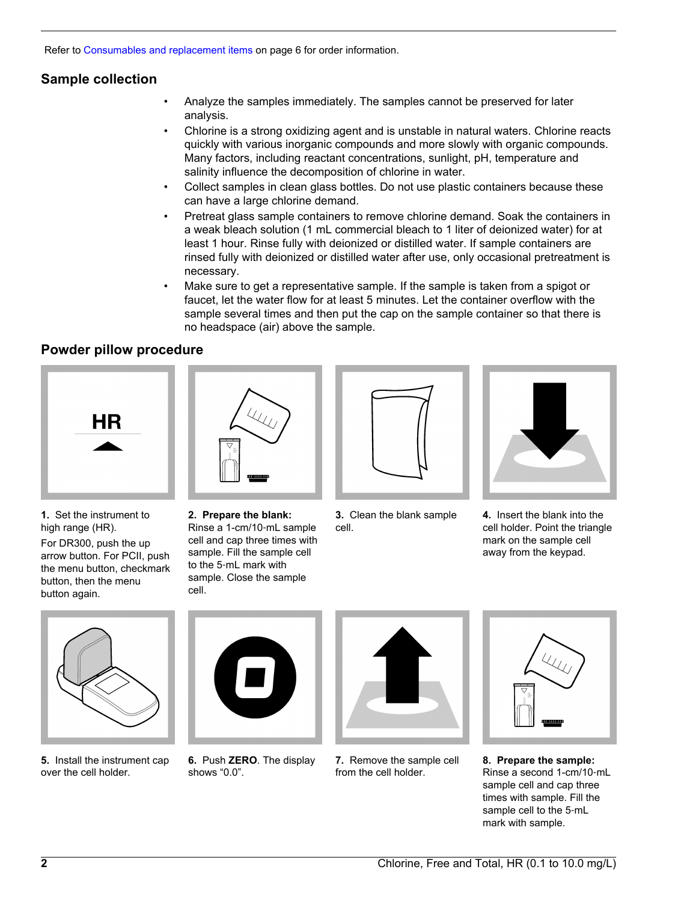Refer to [Consumables and replacement items](#page-5-0) on page 6 for order information.

# **Sample collection**

- Analyze the samples immediately. The samples cannot be preserved for later analysis.
- Chlorine is a strong oxidizing agent and is unstable in natural waters. Chlorine reacts quickly with various inorganic compounds and more slowly with organic compounds. Many factors, including reactant concentrations, sunlight, pH, temperature and salinity influence the decomposition of chlorine in water.
- Collect samples in clean glass bottles. Do not use plastic containers because these can have a large chlorine demand.
- Pretreat glass sample containers to remove chlorine demand. Soak the containers in a weak bleach solution (1 mL commercial bleach to 1 liter of deionized water) for at least 1 hour. Rinse fully with deionized or distilled water. If sample containers are rinsed fully with deionized or distilled water after use, only occasional pretreatment is necessary.
- Make sure to get a representative sample. If the sample is taken from a spigot or faucet, let the water flow for at least 5 minutes. Let the container overflow with the sample several times and then put the cap on the sample container so that there is no headspace (air) above the sample.

# **Powder pillow procedure**





**1.** Set the instrument to high range (HR). For DR300, push the up

arrow button. For PCII, push the menu button, checkmark button, then the menu button again.

**2. Prepare the blank:** Rinse a 1-cm/10‑mL sample cell and cap three times with sample. Fill the sample cell to the 5‑mL mark with sample. Close the sample

cell.

- 
- **3.** Clean the blank sample cell.



**4.** Insert the blank into the cell holder. Point the triangle mark on the sample cell away from the keypad.



**5.** Install the instrument cap over the cell holder.



**6.** Push **ZERO**. The display shows "0.0".



**7.** Remove the sample cell from the cell holder.



**8. Prepare the sample:** Rinse a second 1-cm/10‑mL sample cell and cap three times with sample. Fill the sample cell to the 5-mL mark with sample.

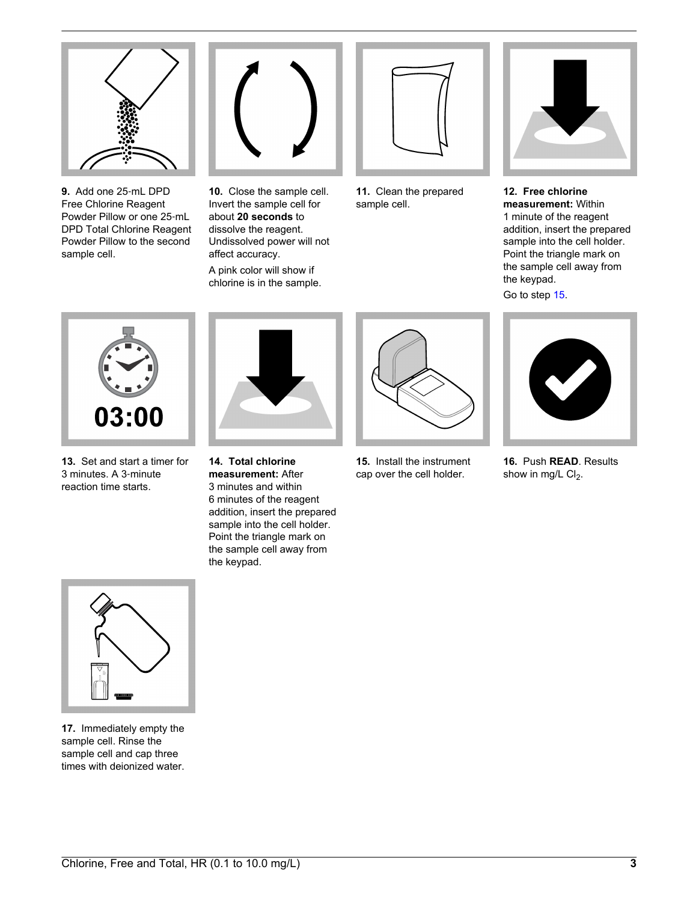

**9.** Add one 25‑mL DPD Free Chlorine Reagent Powder Pillow or one 25‑mL DPD Total Chlorine Reagent Powder Pillow to the second sample cell.



**10.** Close the sample cell. Invert the sample cell for about **20 seconds** to dissolve the reagent. Undissolved power will not affect accuracy. A pink color will show if chlorine is in the sample.



**11.** Clean the prepared sample cell.



**12. Free chlorine measurement:** Within 1 minute of the reagent addition, insert the prepared sample into the cell holder. Point the triangle mark on the sample cell away from the keypad.

Go to step [15](#page-2-0).



**13.** Set and start a timer for 3 minutes. A 3‑minute reaction time starts.



**14. Total chlorine measurement:** After 3 minutes and within 6 minutes of the reagent addition, insert the prepared sample into the cell holder. Point the triangle mark on the sample cell away from the keypad.



**15.** Install the instrument cap over the cell holder.



**16.** Push **READ**. Results show in mg/L  $Cl<sub>2</sub>$ .

<span id="page-2-0"></span>

**17.** Immediately empty the sample cell. Rinse the sample cell and cap three times with deionized water.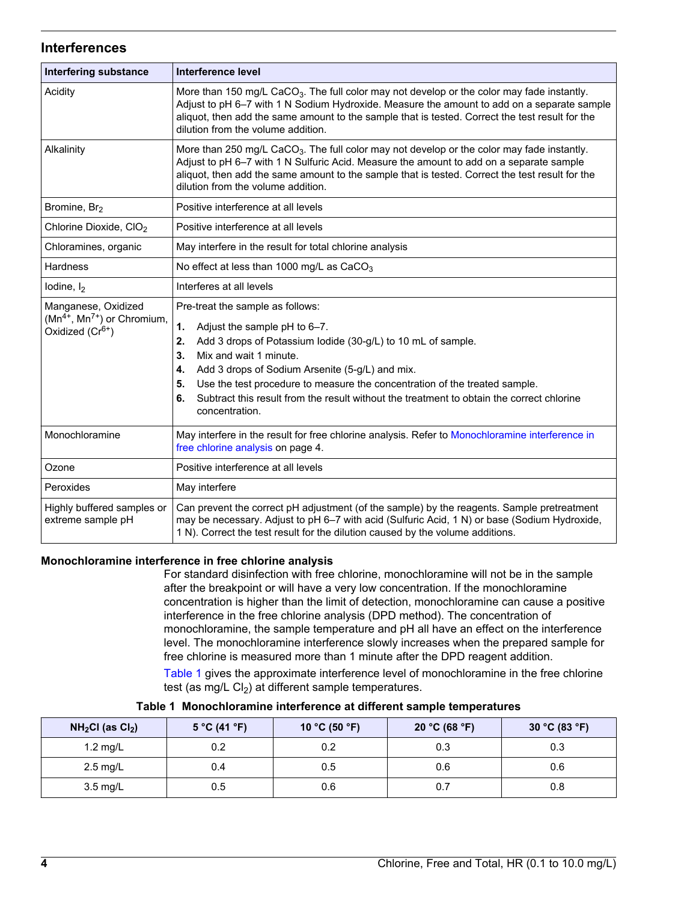# **Interferences**

<span id="page-3-0"></span>

| <b>Interfering substance</b>                                                     | Interference level                                                                                                                                                                                                                                                                                                                                                                                                                             |  |  |
|----------------------------------------------------------------------------------|------------------------------------------------------------------------------------------------------------------------------------------------------------------------------------------------------------------------------------------------------------------------------------------------------------------------------------------------------------------------------------------------------------------------------------------------|--|--|
| Acidity                                                                          | More than 150 mg/L CaCO <sub>3</sub> . The full color may not develop or the color may fade instantly.<br>Adjust to pH 6-7 with 1 N Sodium Hydroxide. Measure the amount to add on a separate sample<br>aliquot, then add the same amount to the sample that is tested. Correct the test result for the<br>dilution from the volume addition.                                                                                                  |  |  |
| Alkalinity                                                                       | More than 250 mg/L CaCO <sub>3</sub> . The full color may not develop or the color may fade instantly.<br>Adjust to pH 6-7 with 1 N Sulfuric Acid. Measure the amount to add on a separate sample<br>aliquot, then add the same amount to the sample that is tested. Correct the test result for the<br>dilution from the volume addition.                                                                                                     |  |  |
| Bromine, Br <sub>2</sub>                                                         | Positive interference at all levels                                                                                                                                                                                                                                                                                                                                                                                                            |  |  |
| Chlorine Dioxide, CIO <sub>2</sub>                                               | Positive interference at all levels                                                                                                                                                                                                                                                                                                                                                                                                            |  |  |
| Chloramines, organic                                                             | May interfere in the result for total chlorine analysis                                                                                                                                                                                                                                                                                                                                                                                        |  |  |
| <b>Hardness</b>                                                                  | No effect at less than 1000 mg/L as $CaCO3$                                                                                                                                                                                                                                                                                                                                                                                                    |  |  |
| lodine, $I_2$                                                                    | Interferes at all levels                                                                                                                                                                                                                                                                                                                                                                                                                       |  |  |
| Manganese, Oxidized<br>$(Mn^{4+}, Mn^{7+})$ or Chromium,<br>Oxidized $(Cr^{6+})$ | Pre-treat the sample as follows:<br>1.<br>Adjust the sample pH to 6-7.<br>Add 3 drops of Potassium lodide (30-g/L) to 10 mL of sample.<br>2.<br>Mix and wait 1 minute.<br>3.<br>Add 3 drops of Sodium Arsenite (5-g/L) and mix.<br>4.<br>Use the test procedure to measure the concentration of the treated sample.<br>5.<br>Subtract this result from the result without the treatment to obtain the correct chlorine<br>6.<br>concentration. |  |  |
| Monochloramine                                                                   | May interfere in the result for free chlorine analysis. Refer to Monochloramine interference in<br>free chlorine analysis on page 4.                                                                                                                                                                                                                                                                                                           |  |  |
| Ozone                                                                            | Positive interference at all levels                                                                                                                                                                                                                                                                                                                                                                                                            |  |  |
| Peroxides                                                                        | May interfere                                                                                                                                                                                                                                                                                                                                                                                                                                  |  |  |
| Highly buffered samples or<br>extreme sample pH                                  | Can prevent the correct pH adjustment (of the sample) by the reagents. Sample pretreatment<br>may be necessary. Adjust to pH 6-7 with acid (Sulfuric Acid, 1 N) or base (Sodium Hydroxide,<br>1 N). Correct the test result for the dilution caused by the volume additions.                                                                                                                                                                   |  |  |

## **Monochloramine interference in free chlorine analysis**

For standard disinfection with free chlorine, monochloramine will not be in the sample after the breakpoint or will have a very low concentration. If the monochloramine concentration is higher than the limit of detection, monochloramine can cause a positive interference in the free chlorine analysis (DPD method). The concentration of monochloramine, the sample temperature and pH all have an effect on the interference level. The monochloramine interference slowly increases when the prepared sample for free chlorine is measured more than 1 minute after the DPD reagent addition.

[Table 1](#page-3-2) gives the approximate interference level of monochloramine in the free chlorine test (as mg/L  $Cl<sub>2</sub>$ ) at different sample temperatures.

<span id="page-3-2"></span><span id="page-3-1"></span>

| $NH2Cl$ (as $Cl2$ ) | 5 °C (41 °F) | 10 °C (50 °F) | 20 °C (68 °F) | 30 °C (83 °F) |
|---------------------|--------------|---------------|---------------|---------------|
| 1.2 mg/L            | 0.2          | 0.2           | 0.3           | 0.3           |
| $2.5 \text{ mg/L}$  | 0.4          | 0.5           | 0.6           | 0.6           |
| 3.5 mg/L            | 0.5          | 0.6           | 0.7           | 0.8           |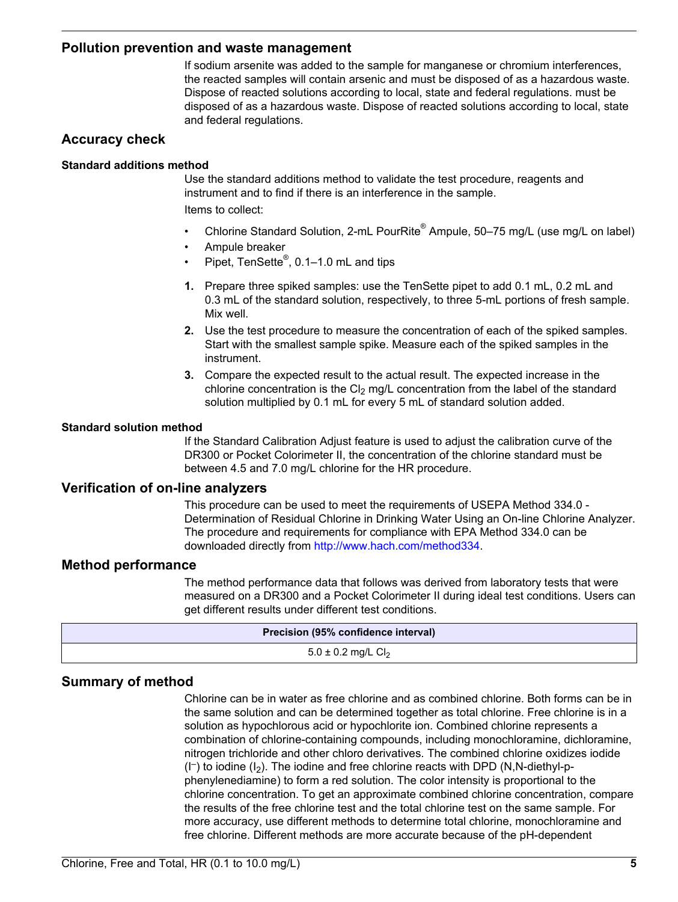# **Pollution prevention and waste management**

If sodium arsenite was added to the sample for manganese or chromium interferences, the reacted samples will contain arsenic and must be disposed of as a hazardous waste. Dispose of reacted solutions according to local, state and federal regulations. must be disposed of as a hazardous waste. Dispose of reacted solutions according to local, state and federal regulations.

# **Accuracy check**

#### **Standard additions method**

Use the standard additions method to validate the test procedure, reagents and instrument and to find if there is an interference in the sample. Items to collect:

- Chlorine Standard Solution, 2-mL PourRite® Ampule, 50–75 mg/L (use mg/L on label)
- Ampule breaker
- Pipet, TenSette<sup>®</sup>, 0.1–1.0 mL and tips
- **1.** Prepare three spiked samples: use the TenSette pipet to add 0.1 mL, 0.2 mL and 0.3 mL of the standard solution, respectively, to three 5-mL portions of fresh sample. Mix well.
- **2.** Use the test procedure to measure the concentration of each of the spiked samples. Start with the smallest sample spike. Measure each of the spiked samples in the instrument.
- **3.** Compare the expected result to the actual result. The expected increase in the chlorine concentration is the  $Cl<sub>2</sub>$  mg/L concentration from the label of the standard solution multiplied by 0.1 mL for every 5 mL of standard solution added.

#### **Standard solution method**

If the Standard Calibration Adjust feature is used to adjust the calibration curve of the DR300 or Pocket Colorimeter II, the concentration of the chlorine standard must be between 4.5 and 7.0 mg/L chlorine for the HR procedure.

# **Verification of on-line analyzers**

This procedure can be used to meet the requirements of USEPA Method 334.0 - Determination of Residual Chlorine in Drinking Water Using an On-line Chlorine Analyzer. The procedure and requirements for compliance with EPA Method 334.0 can be downloaded directly from [http://www.hach.com/method334.](http://www.hach.com/method334)

## **Method performance**

The method performance data that follows was derived from laboratory tests that were measured on a DR300 and a Pocket Colorimeter II during ideal test conditions. Users can get different results under different test conditions.

| Precision (95% confidence interval) |  |  |
|-------------------------------------|--|--|
| $5.0 \pm 0.2$ mg/L Cl <sub>2</sub>  |  |  |
|                                     |  |  |

# **Summary of method**

Chlorine can be in water as free chlorine and as combined chlorine. Both forms can be in the same solution and can be determined together as total chlorine. Free chlorine is in a solution as hypochlorous acid or hypochlorite ion. Combined chlorine represents a combination of chlorine-containing compounds, including monochloramine, dichloramine, nitrogen trichloride and other chloro derivatives. The combined chlorine oxidizes iodide (I– ) to iodine (I2). The iodine and free chlorine reacts with DPD (N,N-diethyl-pphenylenediamine) to form a red solution. The color intensity is proportional to the chlorine concentration. To get an approximate combined chlorine concentration, compare the results of the free chlorine test and the total chlorine test on the same sample. For more accuracy, use different methods to determine total chlorine, monochloramine and free chlorine. Different methods are more accurate because of the pH-dependent